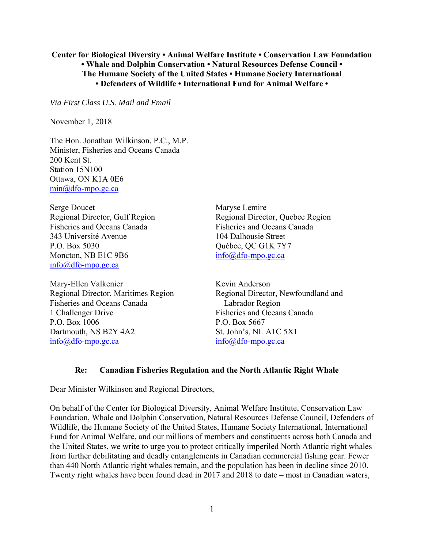## **Center for Biological Diversity • Animal Welfare Institute • Conservation Law Foundation • Whale and Dolphin Conservation • Natural Resources Defense Council • The Humane Society of the United States • Humane Society International • Defenders of Wildlife • International Fund for Animal Welfare •**

*Via First Class U.S. Mail and Email* 

November 1, 2018

The Hon. Jonathan Wilkinson, P.C., M.P. Minister, Fisheries and Oceans Canada 200 Kent St. Station 15N100 Ottawa, ON K1A 0E6 min@dfo-mpo.gc.ca

Serge Doucet Regional Director, Gulf Region Fisheries and Oceans Canada 343 Université Avenue P.O. Box 5030 Moncton, NB E1C 9B6 info@dfo-mpo.gc.ca

Mary-Ellen Valkenier Regional Director, Maritimes Region Fisheries and Oceans Canada 1 Challenger Drive P.O. Box 1006 Dartmouth, NS B2Y 4A2 info@dfo-mpo.gc.ca

Maryse Lemire Regional Director, Quebec Region Fisheries and Oceans Canada 104 Dalhousie Street Québec, QC G1K 7Y7 info@dfo-mpo.gc.ca

Kevin Anderson Regional Director, Newfoundland and Labrador Region Fisheries and Oceans Canada P.O. Box 5667 St. John's, NL A1C 5X1 info@dfo-mpo.gc.ca

#### **Re: Canadian Fisheries Regulation and the North Atlantic Right Whale**

Dear Minister Wilkinson and Regional Directors,

On behalf of the Center for Biological Diversity, Animal Welfare Institute, Conservation Law Foundation, Whale and Dolphin Conservation, Natural Resources Defense Council, Defenders of Wildlife, the Humane Society of the United States, Humane Society International, International Fund for Animal Welfare, and our millions of members and constituents across both Canada and the United States, we write to urge you to protect critically imperiled North Atlantic right whales from further debilitating and deadly entanglements in Canadian commercial fishing gear. Fewer than 440 North Atlantic right whales remain, and the population has been in decline since 2010. Twenty right whales have been found dead in 2017 and 2018 to date – most in Canadian waters,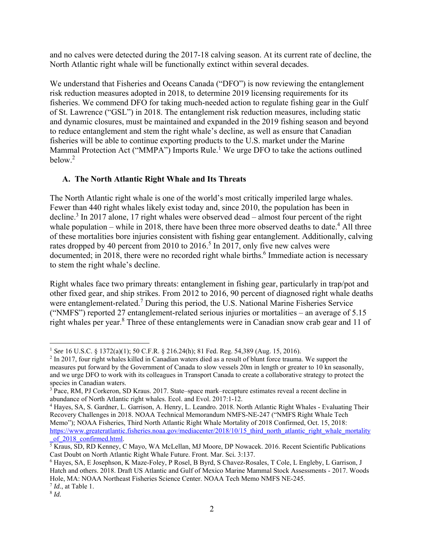and no calves were detected during the 2017-18 calving season. At its current rate of decline, the North Atlantic right whale will be functionally extinct within several decades.

We understand that Fisheries and Oceans Canada ("DFO") is now reviewing the entanglement risk reduction measures adopted in 2018, to determine 2019 licensing requirements for its fisheries. We commend DFO for taking much-needed action to regulate fishing gear in the Gulf of St. Lawrence ("GSL") in 2018. The entanglement risk reduction measures, including static and dynamic closures, must be maintained and expanded in the 2019 fishing season and beyond to reduce entanglement and stem the right whale's decline, as well as ensure that Canadian fisheries will be able to continue exporting products to the U.S. market under the Marine Mammal Protection Act ("MMPA") Imports Rule.<sup>1</sup> We urge DFO to take the actions outlined below.<sup>2</sup>

# **A. The North Atlantic Right Whale and Its Threats**

The North Atlantic right whale is one of the world's most critically imperiled large whales. Fewer than 440 right whales likely exist today and, since 2010, the population has been in decline.<sup>3</sup> In 2017 alone, 17 right whales were observed dead – almost four percent of the right whale population – while in 2018, there have been three more observed deaths to date.<sup>4</sup> All three of these mortalities bore injuries consistent with fishing gear entanglement. Additionally, calving rates dropped by 40 percent from 2010 to 2016.<sup>5</sup> In 2017, only five new calves were documented; in 2018, there were no recorded right whale births.<sup>6</sup> Immediate action is necessary to stem the right whale's decline.

Right whales face two primary threats: entanglement in fishing gear, particularly in trap/pot and other fixed gear, and ship strikes. From 2012 to 2016, 90 percent of diagnosed right whale deaths were entanglement-related.<sup>7</sup> During this period, the U.S. National Marine Fisheries Service ("NMFS") reported 27 entanglement-related serious injuries or mortalities – an average of  $5.15$ right whales per year.<sup>8</sup> Three of these entanglements were in Canadian snow crab gear and 11 of

<sup>1</sup> <sup>1</sup> *See* 16 U.S.C. § 1372(a)(1); 50 C.F.R. § 216.24(h); 81 Fed. Reg. 54,389 (Aug. 15, 2016). 2

<sup>&</sup>lt;sup>2</sup> In 2017, four right whales killed in Canadian waters died as a result of blunt force trauma. We support the measures put forward by the Government of Canada to slow vessels 20m in length or greater to 10 kn seasonally, and we urge DFO to work with its colleagues in Transport Canada to create a collaborative strategy to protect the species in Canadian waters.

<sup>&</sup>lt;sup>3</sup> Pace, RM, PJ Corkeron, SD Kraus. 2017. State–space mark–recapture estimates reveal a recent decline in abundance of North Atlantic right whales. Ecol. and Evol. 2017:1-12. 4

<sup>&</sup>lt;sup>4</sup> Hayes, SA, S. Gardner, L. Garrison, A. Henry, L. Leandro. 2018. North Atlantic Right Whales - Evaluating Their Recovery Challenges in 2018. NOAA Technical Memorandum NMFS-NE-247 ("NMFS Right Whale Tech Memo"); NOAA Fisheries, Third North Atlantic Right Whale Mortality of 2018 Confirmed, Oct. 15, 2018: https://www.greateratlantic.fisheries.noaa.gov/mediacenter/2018/10/15\_third\_north\_atlantic\_right\_whale\_mortality of 2018 confirmed.html.

of\_2018\_confirmed.html.<br><sup>5</sup> Kraus, SD, RD Kenney, C Mayo, WA McLellan, MJ Moore, DP Nowacek. 2016. Recent Scientific Publications Cast Doubt on North Atlantic Right Whale Future. Front. Mar. Sci*.* 3:137.

<sup>6</sup> Hayes, SA, E Josephson, K Maze-Foley, P Rosel, B Byrd, S Chavez-Rosales, T Cole, L Engleby, L Garrison, J Hatch and others. 2018. Draft US Atlantic and Gulf of Mexico Marine Mammal Stock Assessments - 2017. Woods Hole, MA: NOAA Northeast Fisheries Science Center. NOAA Tech Memo NMFS NE-245. 7 *Id.*, at Table 1.

<sup>8</sup> *Id.*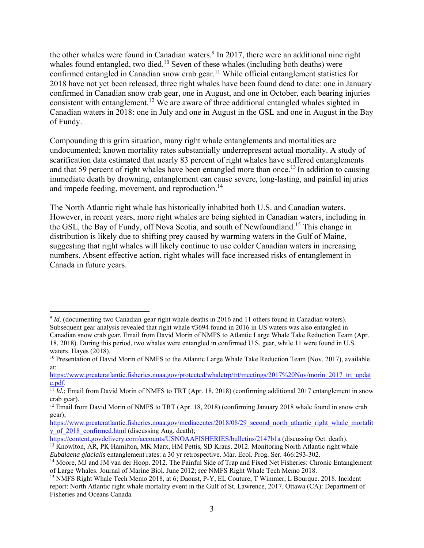the other whales were found in Canadian waters.<sup>9</sup> In 2017, there were an additional nine right whales found entangled, two died.<sup>10</sup> Seven of these whales (including both deaths) were confirmed entangled in Canadian snow crab gear.<sup>11</sup> While official entanglement statistics for 2018 have not yet been released, three right whales have been found dead to date: one in January confirmed in Canadian snow crab gear, one in August, and one in October, each bearing injuries consistent with entanglement.<sup>12</sup> We are aware of three additional entangled whales sighted in Canadian waters in 2018: one in July and one in August in the GSL and one in August in the Bay of Fundy.

Compounding this grim situation, many right whale entanglements and mortalities are undocumented; known mortality rates substantially underrepresent actual mortality. A study of scarification data estimated that nearly 83 percent of right whales have suffered entanglements and that 59 percent of right whales have been entangled more than once.<sup>13</sup> In addition to causing immediate death by drowning, entanglement can cause severe, long-lasting, and painful injuries and impede feeding, movement, and reproduction.<sup>14</sup>

The North Atlantic right whale has historically inhabited both U.S. and Canadian waters. However, in recent years, more right whales are being sighted in Canadian waters, including in the GSL, the Bay of Fundy, off Nova Scotia, and south of Newfoundland.<sup>15</sup> This change in distribution is likely due to shifting prey caused by warming waters in the Gulf of Maine, suggesting that right whales will likely continue to use colder Canadian waters in increasing numbers. Absent effective action, right whales will face increased risks of entanglement in Canada in future years.

 $\overline{a}$ <sup>9</sup> *Id.* (documenting two Canadian-gear right whale deaths in 2016 and 11 others found in Canadian waters). Subsequent gear analysis revealed that right whale #3694 found in 2016 in US waters was also entangled in

Canadian snow crab gear. Email from David Morin of NMFS to Atlantic Large Whale Take Reduction Team (Apr. 18, 2018). During this period, two whales were entangled in confirmed U.S. gear, while 11 were found in U.S. waters. Hayes (2018).

<sup>&</sup>lt;sup>10</sup> Presentation of David Morin of NMFS to the Atlantic Large Whale Take Reduction Team (Nov. 2017), available at:

https://www.greateratlantic.fisheries.noaa.gov/protected/whaletrp/trt/meetings/2017%20Nov/morin\_2017\_trt\_updat

e.pdf.<br><sup>11</sup> *Id.*; Email from David Morin of NMFS to TRT (Apr. 18, 2018) (confirming additional 2017 entanglement in snow crab gear).

<sup>&</sup>lt;sup>12</sup> Email from David Morin of NMFS to TRT (Apr. 18, 2018) (confirming January 2018 whale found in snow crab gear);

https://www.greateratlantic.fisheries.noaa.gov/mediacenter/2018/08/29\_second\_north\_atlantic\_right\_whale\_mortalit\_ y of 2018 confirmed.html (discussing Aug. death);

https://content.govdelivery.com/accounts/USNOAAFISHERIES/bulletins/2147b1a (discussing Oct. death).

<sup>&</sup>lt;sup>13</sup> Knowlton, AR, PK Hamilton, MK Marx, HM Pettis, SD Kraus. 2012. Monitoring North Atlantic right whale *Eubalaena glacialis* entanglement rates: a 30 yr retrospective. Mar. Ecol. Prog. Ser. 466:293-302.

<sup>&</sup>lt;sup>14</sup> Moore, MJ and JM van der Hoop. 2012. The Painful Side of Trap and Fixed Net Fisheries: Chronic Entanglement of Large Whales. Journal of Marine Biol. June 2012; *see* NMFS Right Whale Tech Memo 2018.

<sup>15</sup> NMFS Right Whale Tech Memo 2018, at 6; Daoust, P-Y, EL Couture, T Wimmer, L Bourque. 2018. Incident report: North Atlantic right whale mortality event in the Gulf of St. Lawrence, 2017. Ottawa (CA): Department of Fisheries and Oceans Canada.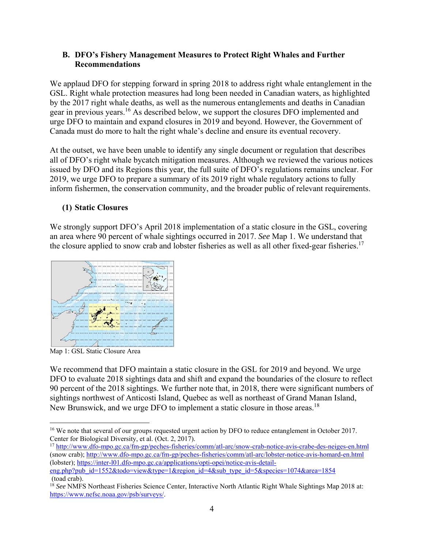## **B. DFO's Fishery Management Measures to Protect Right Whales and Further Recommendations**

We applaud DFO for stepping forward in spring 2018 to address right whale entanglement in the GSL. Right whale protection measures had long been needed in Canadian waters, as highlighted by the 2017 right whale deaths, as well as the numerous entanglements and deaths in Canadian gear in previous years.16 As described below, we support the closures DFO implemented and urge DFO to maintain and expand closures in 2019 and beyond. However, the Government of Canada must do more to halt the right whale's decline and ensure its eventual recovery.

At the outset, we have been unable to identify any single document or regulation that describes all of DFO's right whale bycatch mitigation measures. Although we reviewed the various notices issued by DFO and its Regions this year, the full suite of DFO's regulations remains unclear. For 2019, we urge DFO to prepare a summary of its 2019 right whale regulatory actions to fully inform fishermen, the conservation community, and the broader public of relevant requirements.

# **(1) Static Closures**

We strongly support DFO's April 2018 implementation of a static closure in the GSL, covering an area where 90 percent of whale sightings occurred in 2017. *See* Map 1. We understand that the closure applied to snow crab and lobster fisheries as well as all other fixed-gear fisheries.<sup>17</sup>



Map 1: GSL Static Closure Area

We recommend that DFO maintain a static closure in the GSL for 2019 and beyond. We urge DFO to evaluate 2018 sightings data and shift and expand the boundaries of the closure to reflect 90 percent of the 2018 sightings. We further note that, in 2018, there were significant numbers of sightings northwest of Anticosti Island, Quebec as well as northeast of Grand Manan Island, New Brunswick, and we urge DFO to implement a static closure in those areas.<sup>18</sup>

<sup>1</sup> <sup>16</sup> We note that several of our groups requested urgent action by DFO to reduce entanglement in October 2017. Center for Biological Diversity, et al. (Oct. 2, 2017).

<sup>&</sup>lt;sup>17</sup> http://www.dfo-mpo.gc.ca/fm-gp/peches-fisheries/comm/atl-arc/snow-crab-notice-avis-crabe-des-neiges-en.html (snow crab); http://www.dfo-mpo.gc.ca/fm-gp/peches-fisheries/comm/atl-arc/lobster-notice-avis-homard-en.html (lobster); https://inter-l01.dfo-mpo.gc.ca/applications/opti-opei/notice-avis-detail-

eng.php?pub\_id=1552&todo=view&type=1&region\_id=4&sub\_type\_id=5&species=1074&area=1854 (toad crab).

<sup>&</sup>lt;sup>18</sup> See NMFS Northeast Fisheries Science Center, Interactive North Atlantic Right Whale Sightings Map 2018 at: https://www.nefsc.noaa.gov/psb/surveys/.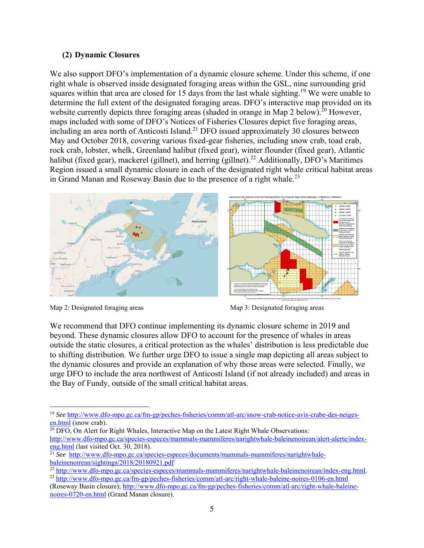## **(2) Dynamic Closures**

We also support DFO's implementation of a dynamic closure scheme. Under this scheme, if one right whale is observed inside designated foraging areas within the GSL, nine surrounding grid squares within that area are closed for 15 days from the last whale sighting.<sup>19</sup> We were unable to determine the full extent of the designated foraging areas. DFO's interactive map provided on its website currently depicts three foraging areas (shaded in orange in Map 2 below).<sup>20</sup> However, maps included with some of DFO's Notices of Fisheries Closures depict five foraging areas, including an area north of Anticosti Island.<sup>21</sup> DFO issued approximately 30 closures between May and October 2018, covering various fixed-gear fisheries, including snow crab, toad crab, rock crab, lobster, whelk, Greenland halibut (fixed gear), winter flounder (fixed gear), Atlantic halibut (fixed gear), mackerel (gillnet), and herring (gillnet).<sup>22</sup> Additionally, DFO's Maritimes Region issued a small dynamic closure in each of the designated right whale critical habitat areas in Grand Manan and Roseway Basin due to the presence of a right whale.<sup>23</sup>



Map 2: Designated foraging areas Map 3: Designated foraging areas Map 3: Designated foraging areas

We recommend that DFO continue implementing its dynamic closure scheme in 2019 and beyond. These dynamic closures allow DFO to account for the presence of whales in areas outside the static closures, a critical protection as the whales' distribution is less predictable due to shifting distribution. We further urge DFO to issue a single map depicting all areas subject to the dynamic closures and provide an explanation of why those areas were selected. Finally, we urge DFO to include the area northwest of Anticosti Island (if not already included) and areas in the Bay of Fundy, outside of the small critical habitat areas.

 $\overline{^{20}$  DFO, On Alert for Right Whales, Interactive Map on the Latest Right Whale Observations: http://www.dfo-mpo.gc.ca/species-especes/mammals-mammiferes/narightwhale-baleinenoirean/alert-alerte/index-<br>eng.html (last visited Oct. 30, 2018).

 $\overline{a}$ <sup>19</sup> *See* http://www.dfo-mpo.gc.ca/fm-gp/peches-fisheries/comm/atl-arc/snow-crab-notice-avis-crabe-des-neigesen.html (snow crab).

<sup>&</sup>lt;sup>21</sup> *See* http://www.dfo-mpo.gc.ca/species-especes/documents/mammals-mammiferes/narightwhale-

baleinenoirean/sightings/2018/20180921.pdf<br>
<sup>22</sup> http://www.dfo-mpo.gc.ca/species-especes/mammals-mammiferes/narightwhale-baleinenoirean/index-eng.html<br>
<sup>23</sup> http://www.dfo-mpo.gc.ca/fm-gp/peches-fisheries/comm/atl-arc/rig

<sup>(</sup>Roseway Basin closure); http://www.dfo-mpo.gc.ca/fm-gp/peches-fisheries/comm/atl-arc/right-whale-baleinenoires-0720-en.html (Grand Manan closure).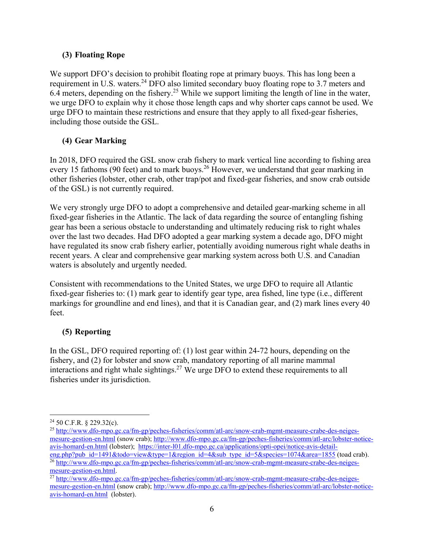## **(3) Floating Rope**

We support DFO's decision to prohibit floating rope at primary buoys. This has long been a requirement in U.S. waters.<sup>24</sup> DFO also limited secondary buoy floating rope to 3.7 meters and 6.4 meters, depending on the fishery.<sup>25</sup> While we support limiting the length of line in the water, we urge DFO to explain why it chose those length caps and why shorter caps cannot be used. We urge DFO to maintain these restrictions and ensure that they apply to all fixed-gear fisheries, including those outside the GSL.

# **(4) Gear Marking**

In 2018, DFO required the GSL snow crab fishery to mark vertical line according to fishing area every 15 fathoms (90 feet) and to mark buoys.<sup>26</sup> However, we understand that gear marking in other fisheries (lobster, other crab, other trap/pot and fixed-gear fisheries, and snow crab outside of the GSL) is not currently required.

We very strongly urge DFO to adopt a comprehensive and detailed gear-marking scheme in all fixed-gear fisheries in the Atlantic. The lack of data regarding the source of entangling fishing gear has been a serious obstacle to understanding and ultimately reducing risk to right whales over the last two decades. Had DFO adopted a gear marking system a decade ago, DFO might have regulated its snow crab fishery earlier, potentially avoiding numerous right whale deaths in recent years. A clear and comprehensive gear marking system across both U.S. and Canadian waters is absolutely and urgently needed.

Consistent with recommendations to the United States, we urge DFO to require all Atlantic fixed-gear fisheries to: (1) mark gear to identify gear type, area fished, line type (i.e., different markings for groundline and end lines), and that it is Canadian gear, and (2) mark lines every 40 feet.

## **(5) Reporting**

In the GSL, DFO required reporting of: (1) lost gear within 24-72 hours, depending on the fishery, and (2) for lobster and snow crab, mandatory reporting of all marine mammal interactions and right whale sightings.<sup>27</sup> We urge DFO to extend these requirements to all fisheries under its jurisdiction.

1

<sup>24 50</sup> C.F.R. § 229.32(c).

<sup>&</sup>lt;sup>25</sup> http://www.dfo-mpo.gc.ca/fm-gp/peches-fisheries/comm/atl-arc/snow-crab-mgmt-measure-crabe-des-neigesmesure-gestion-en.html (snow crab); http://www.dfo-mpo.gc.ca/fm-gp/peches-fisheries/comm/atl-arc/lobster-noticeavis-homard-en.html (lobster); https://inter-l01.dfo-mpo.gc.ca/applications/opti-opei/notice-avis-detaileng.php?pub\_id=1491&todo=view&type=1&region\_id=4&sub\_type\_id=5&species=1074&area=1855 (toad crab).

<sup>&</sup>lt;sup>26</sup> http://www.dfo-mpo.gc.ca/fm-gp/peche<u>s-fisheries/comm/atl-arc/snow-crab-mgmt-measure-crabe-des-neiges-</u> mesure-gestion-en.html.<br><sup>27</sup> http://www.<u>dfo-mpo.gc.ca/fm-gp/peches-fisheries/comm/atl-arc/snow-crab-mgmt-measure-crabe-des-neiges-</u>

mesure-gestion-en.html (snow crab); http://www.dfo-mpo.gc.ca/fm-gp/peches-fisheries/comm/atl-arc/lobster-noticeavis-homard-en.html (lobster).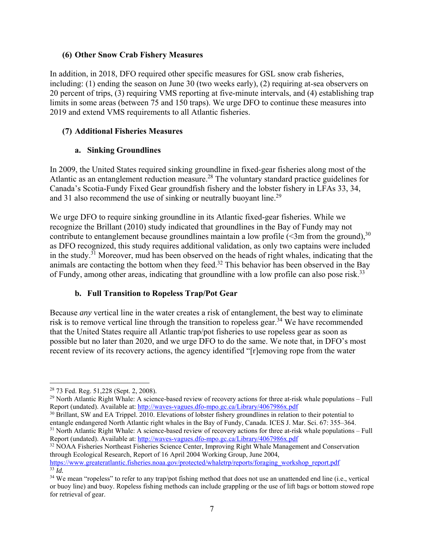## **(6) Other Snow Crab Fishery Measures**

In addition, in 2018, DFO required other specific measures for GSL snow crab fisheries, including: (1) ending the season on June 30 (two weeks early), (2) requiring at-sea observers on 20 percent of trips, (3) requiring VMS reporting at five-minute intervals, and (4) establishing trap limits in some areas (between 75 and 150 traps). We urge DFO to continue these measures into 2019 and extend VMS requirements to all Atlantic fisheries.

## **(7) Additional Fisheries Measures**

## **a. Sinking Groundlines**

In 2009, the United States required sinking groundline in fixed-gear fisheries along most of the Atlantic as an entanglement reduction measure.<sup>28</sup> The voluntary standard practice guidelines for Canada's Scotia-Fundy Fixed Gear groundfish fishery and the lobster fishery in LFAs 33, 34, and 31 also recommend the use of sinking or neutrally buoyant line.<sup>29</sup>

We urge DFO to require sinking groundline in its Atlantic fixed-gear fisheries. While we recognize the Brillant (2010) study indicated that groundlines in the Bay of Fundy may not contribute to entanglement because groundlines maintain a low profile  $(\leq 3m$  from the ground),  $30$ as DFO recognized, this study requires additional validation, as only two captains were included in the study.31 Moreover, mud has been observed on the heads of right whales, indicating that the animals are contacting the bottom when they feed.32 This behavior has been observed in the Bay of Fundy, among other areas, indicating that groundline with a low profile can also pose risk.<sup>33</sup>

## **b. Full Transition to Ropeless Trap/Pot Gear**

Because *any* vertical line in the water creates a risk of entanglement, the best way to eliminate risk is to remove vertical line through the transition to ropeless gear.<sup>34</sup> We have recommended that the United States require all Atlantic trap/pot fisheries to use ropeless gear as soon as possible but no later than 2020, and we urge DFO to do the same. We note that, in DFO's most recent review of its recovery actions, the agency identified "[r]emoving rope from the water

 $\overline{a}$ 

<sup>28 73</sup> Fed. Reg. 51,228 (Sept. 2, 2008).

<sup>29</sup> North Atlantic Right Whale: A science-based review of recovery actions for three at-risk whale populations – Full Report (undated). Available at: http://waves-vagues.dfo-mpo.gc.ca/Library/4067986x.pdf

<sup>&</sup>lt;sup>30</sup> Brillant, SW and EA Trippel. 2010. Elevations of lobster fishery groundlines in relation to their potential to entangle endangered North Atlantic right whales in the Bay of Fundy, Canada. ICES J. Mar. Sci. 67: 355–364.

<sup>&</sup>lt;sup>31</sup> North Atlantic Right Whale: A science-based review of recovery actions for three at-risk whale populations – Full Report (undated). Available at: http://waves-vagues.dfo-mpo.gc.ca/Library/4067986x.pdf

 $32$  NOAA Fisheries Northeast Fisheries Science Center, Improving Right Whale Management and Conservation through Ecological Research, Report of 16 April 2004 Working Group, June 2004, https://www.greateratlantic.fisheries.noaa.gov/protected/whaletrp/reports/foraging\_workshop\_report.pdf 33 *Id.*

<sup>&</sup>lt;sup>34</sup> We mean "ropeless" to refer to any trap/pot fishing method that does not use an unattended end line (i.e., vertical or buoy line) and buoy. Ropeless fishing methods can include grappling or the use of lift bags or bottom stowed rope for retrieval of gear.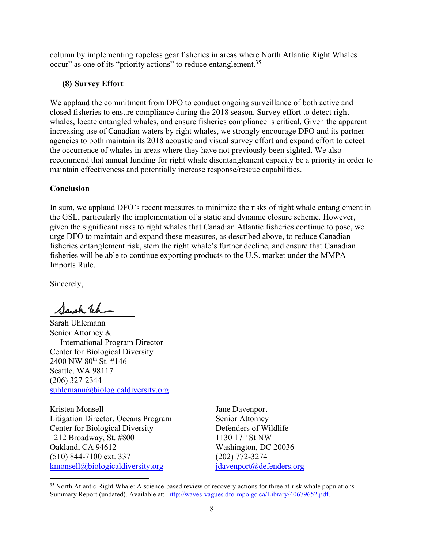column by implementing ropeless gear fisheries in areas where North Atlantic Right Whales occur" as one of its "priority actions" to reduce entanglement.<sup>35</sup>

## **(8) Survey Effort**

We applaud the commitment from DFO to conduct ongoing surveillance of both active and closed fisheries to ensure compliance during the 2018 season. Survey effort to detect right whales, locate entangled whales, and ensure fisheries compliance is critical. Given the apparent increasing use of Canadian waters by right whales, we strongly encourage DFO and its partner agencies to both maintain its 2018 acoustic and visual survey effort and expand effort to detect the occurrence of whales in areas where they have not previously been sighted. We also recommend that annual funding for right whale disentanglement capacity be a priority in order to maintain effectiveness and potentially increase response/rescue capabilities.

## **Conclusion**

In sum, we applaud DFO's recent measures to minimize the risks of right whale entanglement in the GSL, particularly the implementation of a static and dynamic closure scheme. However, given the significant risks to right whales that Canadian Atlantic fisheries continue to pose, we urge DFO to maintain and expand these measures, as described above, to reduce Canadian fisheries entanglement risk, stem the right whale's further decline, and ensure that Canadian fisheries will be able to continue exporting products to the U.S. market under the MMPA Imports Rule.

Sincerely,

 $\overline{a}$ 

Sarah Wh

Sarah Uhlemann Senior Attorney & International Program Director Center for Biological Diversity 2400 NW 80<sup>th</sup> St. #146 Seattle, WA 98117 (206) 327-2344 suhlemann@biologicaldiversity.org

Kristen Monsell Litigation Director, Oceans Program Center for Biological Diversity 1212 Broadway, St. #800 Oakland, CA 94612 (510) 844-7100 ext. 337 kmonsell@biologicaldiversity.org

Jane Davenport Senior Attorney Defenders of Wildlife 1130  $17^{th}$  St NW Washington, DC 20036 (202) 772-3274 jdavenport@defenders.org

 $35$  North Atlantic Right Whale: A science-based review of recovery actions for three at-risk whale populations – Summary Report (undated). Available at: http://waves-vagues.dfo-mpo.gc.ca/Library/40679652.pdf.